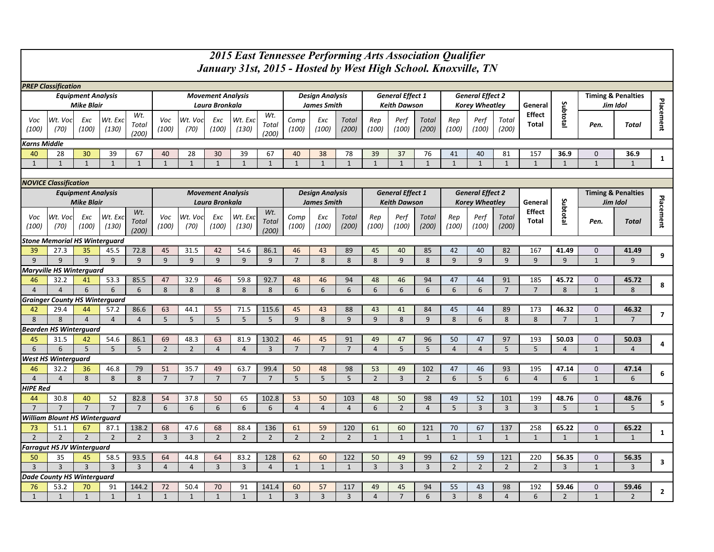|                                                | 2015 East Tennessee Performing Arts Association Qualifier                                                                                |                           |                        |                              |                      |                        |                          |                        |                              |                        |                      |                       |                         |                      |                       |                         |                       |                       |                       |                         |                                           |                         |                         |
|------------------------------------------------|------------------------------------------------------------------------------------------------------------------------------------------|---------------------------|------------------------|------------------------------|----------------------|------------------------|--------------------------|------------------------|------------------------------|------------------------|----------------------|-----------------------|-------------------------|----------------------|-----------------------|-------------------------|-----------------------|-----------------------|-----------------------|-------------------------|-------------------------------------------|-------------------------|-------------------------|
|                                                | January 31st, 2015 - Hosted by West High School. Knoxville, TN                                                                           |                           |                        |                              |                      |                        |                          |                        |                              |                        |                      |                       |                         |                      |                       |                         |                       |                       |                       |                         |                                           |                         |                         |
|                                                | <b>PREP Classification</b>                                                                                                               |                           |                        |                              |                      |                        |                          |                        |                              |                        |                      |                       |                         |                      |                       |                         |                       |                       |                       |                         |                                           |                         |                         |
|                                                |                                                                                                                                          | <b>Equipment Analysis</b> |                        |                              |                      |                        | <b>Movement Analysis</b> |                        |                              | <b>Design Analysis</b> |                      |                       | <b>General Effect 1</b> |                      |                       | <b>General Effect 2</b> |                       |                       |                       |                         | <b>Timing &amp; Penalties</b>             |                         |                         |
|                                                |                                                                                                                                          | <b>Mike Blair</b>         |                        |                              |                      |                        | Laura Bronkala           |                        |                              | <b>James Smith</b>     |                      |                       | <b>Keith Dawson</b>     |                      |                       | <b>Korey Wheatley</b>   |                       |                       | General               |                         | Jim Idol                                  |                         |                         |
| Voc<br>(100)                                   | Wt. Voc<br>(70)                                                                                                                          | Exc<br>(100)              | Wt. Exc<br>(130)       | Wt.<br>Total<br>(200)        | Voc<br>(100)         | Wt. Voc<br>(70)        | Exc<br>(100)             | Wt. Exc<br>(130)       | Wt.<br>Total<br>(200)        | Comp<br>(100)          | Exc<br>(100)         | <b>Total</b><br>(200) | Rep<br>(100)            | Perf<br>(100)        | <b>Total</b><br>(200) | Rep<br>(100)            | Perf<br>(100)         | Total<br>(200)        | Effect<br>Total       | Subtotal                | Pen.                                      | Total                   | Placement               |
| <b>Karns Middle</b>                            |                                                                                                                                          |                           |                        |                              |                      |                        |                          |                        |                              |                        |                      |                       |                         |                      |                       |                         |                       |                       |                       |                         |                                           |                         |                         |
| 40                                             | 28                                                                                                                                       | 30                        | 39                     | 67                           | 40                   | 28                     | 30                       | 39                     | 67                           | 40                     | 38                   | 78                    | 39                      | 37                   | -76                   | 41                      | 40                    | 81                    | 157                   | 36.9                    | $\mathbf{0}$                              | 36.9                    |                         |
| $\mathbf{1}$                                   | $\mathbf{1}$                                                                                                                             | $\mathbf{1}$              | $\mathbf{1}$           | $\mathbf{1}$                 | $\mathbf{1}$         | $\mathbf{1}$           | $\mathbf{1}$             | $\mathbf{1}$           | $\mathbf{1}$                 | $\mathbf{1}$           | $\mathbf{1}$         | $\mathbf{1}$          | $\mathbf{1}$            | $\mathbf{1}$         | $\mathbf{1}$          | $\mathbf{1}$            | $\mathbf{1}$          | $\mathbf{1}$          | $\mathbf{1}$          | $\mathbf{1}$            | $\mathbf{1}$                              | $\mathbf{1}$            | $\mathbf{1}$            |
|                                                |                                                                                                                                          |                           |                        |                              |                      |                        |                          |                        |                              |                        |                      |                       |                         |                      |                       |                         |                       |                       |                       |                         |                                           |                         |                         |
|                                                | <b>NOVICE Classification</b><br><b>Movement Analysis</b><br><b>General Effect 1</b><br><b>General Effect 2</b><br><b>Design Analysis</b> |                           |                        |                              |                      |                        |                          |                        |                              |                        |                      |                       |                         |                      |                       |                         |                       |                       |                       |                         |                                           |                         |                         |
| <b>Equipment Analysis</b><br><b>Mike Blair</b> |                                                                                                                                          |                           |                        |                              |                      |                        | Laura Bronkala           |                        |                              |                        | <b>James Smith</b>   |                       |                         | <b>Keith Dawson</b>  |                       |                         | <b>Korey Wheatley</b> |                       | General               |                         | <b>Timing &amp; Penalties</b><br>Jim Idol |                         |                         |
| Voc<br>(100)                                   | Wt. Voc<br>(70)                                                                                                                          | Exc<br>(100)              | Wt. Exc<br>(130)       | Wt.<br><b>Total</b><br>(200) | Voc<br>(100)         | Wt. Voc<br>(70)        | Exc<br>(100)             | Wt. Exc<br>(130)       | Wt.<br><b>Total</b><br>(200) | Comp<br>(100)          | Exc<br>(100)         | <b>Total</b><br>(200) | Rep<br>(100)            | Perf<br>(100)        | <b>Total</b><br>(200) | Rep<br>(100)            | Perf<br>(100)         | <b>Total</b><br>(200) | Effect<br>Total       | Subtotal                | Pen.                                      | <b>Total</b>            | Placement               |
|                                                | <b>Stone Memorial HS Winterquard</b>                                                                                                     |                           |                        |                              |                      |                        |                          |                        |                              |                        |                      |                       |                         |                      |                       |                         |                       |                       |                       |                         |                                           |                         |                         |
| 39                                             | 27.3                                                                                                                                     | 35                        | 45.5                   | 72.8                         | 45                   | 31.5                   | 42                       | 54.6                   | 86.1                         | 46                     | 43                   | 89                    | 45                      | 40                   | 85                    | 42                      | 40                    | 82                    | 167                   | 41.49                   | $\mathbf 0$                               | 41.49                   |                         |
| 9                                              | 9                                                                                                                                        | 9                         | 9                      | 9                            | 9                    | 9                      | 9                        | 9                      | 9                            | $\overline{7}$         | 8                    | 8                     | 8                       | 9                    | 8                     | 9                       | 9                     | 9                     | 9                     | 9                       | $\mathbf{1}$                              | 9                       | 9                       |
| <b>Maryville HS Winterguard</b>                |                                                                                                                                          |                           |                        |                              |                      |                        |                          |                        |                              |                        |                      |                       |                         |                      |                       |                         |                       |                       |                       |                         |                                           |                         |                         |
| 46<br>$\overline{4}$                           | 32.2<br>$\overline{4}$                                                                                                                   | 41<br>6                   | 53.3<br>6              | 85.5<br>6                    | 47<br>8              | 32.9<br>8              | 46<br>8                  | 59.8<br>8              | 92.7<br>8                    | 48<br>6                | 46<br>6              | 94<br>6               | 48<br>6                 | 46<br>6              | 94<br>6               | 47<br>6                 | 44<br>6               | 91<br>$\overline{7}$  | 185<br>$\overline{7}$ | 45.72<br>8              | 0<br>$\mathbf{1}$                         | 45.72<br>8              | 8                       |
|                                                | <b>Grainger County HS Winterguard</b>                                                                                                    |                           |                        |                              |                      |                        |                          |                        |                              |                        |                      |                       |                         |                      |                       |                         |                       |                       |                       |                         |                                           |                         |                         |
| 42                                             | 29.4                                                                                                                                     | 44                        | 57.2                   | 86.6                         | 63                   | 44.1                   | 55                       | 71.5                   | 115.6                        | 45                     | 43                   | 88                    | 43                      | 41                   | 84                    | 45                      | 44                    | 89                    | 173                   | 46.32                   | $\mathbf 0$                               | 46.32                   | $\overline{\mathbf{z}}$ |
| 8                                              | 8                                                                                                                                        | $\overline{4}$            | $\overline{4}$         | $\overline{4}$               | 5                    | 5                      | 5                        | 5                      | 5                            | 9                      | 8                    | 9                     | 9                       | 8                    | 9                     | 8                       | 6                     | 8                     | 8                     | $\overline{7}$          | $\mathbf{1}$                              | $\overline{7}$          |                         |
|                                                | <b>Bearden HS Winterguard</b>                                                                                                            |                           |                        |                              |                      |                        |                          |                        |                              |                        |                      |                       |                         |                      |                       |                         |                       |                       |                       |                         |                                           |                         |                         |
| 45                                             | 31.5                                                                                                                                     | 42                        | 54.6                   | 86.1                         | 69                   | 48.3                   | 63                       | 81.9                   | 130.2                        | 46                     | 45                   | 91                    | 49                      | 47                   | 96                    | 50                      | 47                    | 97                    | 193                   | 50.03                   | 0                                         | 50.03                   | 4                       |
| 6                                              | 6<br><b>West HS Winterguard</b>                                                                                                          | 5                         | 5                      | 5                            | $\overline{2}$       | $\overline{2}$         | $\overline{4}$           | $\overline{4}$         | $\overline{3}$               | $\overline{7}$         | $\overline{7}$       | $\overline{7}$        | $\overline{4}$          | 5                    | 5                     | $\overline{4}$          | $\overline{4}$        | 5                     | 5                     | $\overline{4}$          | $\mathbf{1}$                              | $\overline{4}$          |                         |
| 46                                             | 32.2                                                                                                                                     | 36                        | 46.8                   | 79                           | 51                   | 35.7                   | 49                       | 63.7                   | 99.4                         | 50                     | 48                   | 98                    | 53                      | 49                   | 102                   | 47                      | 46                    | 93                    | 195                   | 47.14                   | 0                                         | 47.14                   |                         |
| $\overline{4}$                                 | $\overline{4}$                                                                                                                           | 8                         | 8                      | 8                            | $\overline{7}$       | $\overline{7}$         | $\overline{7}$           | $\overline{7}$         | $\overline{7}$               | 5                      | 5                    | 5                     | $\overline{2}$          | $\overline{3}$       | $\overline{2}$        | 6                       | 5                     | 6                     | $\overline{4}$        | 6                       | $\mathbf{1}$                              | 6                       | 6                       |
| HIPE Red                                       |                                                                                                                                          |                           |                        |                              |                      |                        |                          |                        |                              |                        |                      |                       |                         |                      |                       |                         |                       |                       |                       |                         |                                           |                         |                         |
| 44                                             | 30.8                                                                                                                                     | 40                        | 52                     | 82.8                         | 54                   | 37.8                   | 50                       | 65                     | 102.8                        | 53                     | 50                   | 103                   | 48                      | 50                   | 98                    | 49                      | 52                    | 101                   | 199                   | 48.76                   | 0                                         | 48.76                   |                         |
| $\overline{7}$                                 | $\overline{7}$                                                                                                                           | $\overline{7}$            | $\overline{7}$         | $\overline{7}$               | 6                    | 6                      | 6                        | 6                      | 6                            | $\overline{4}$         | $\overline{4}$       | $\overline{4}$        | 6                       | $\overline{2}$       | $\overline{4}$        | 5                       | $\overline{3}$        | $\overline{3}$        | $\overline{3}$        | 5                       | $\mathbf{1}$                              | 5                       | 5                       |
|                                                | <b>William Blount HS Winterguard</b>                                                                                                     |                           |                        |                              |                      |                        |                          |                        |                              |                        |                      |                       |                         |                      |                       |                         |                       |                       |                       |                         |                                           |                         |                         |
| 73                                             | 51.1                                                                                                                                     | 67                        | 87.1                   | 138.2                        | 68                   | 47.6                   | 68                       | 88.4                   | 136                          | 61                     | 59                   | 120                   | 61                      | 60                   | 121                   | 70                      | 67                    | 137                   | 258                   | 65.22                   | 0                                         | 65.22                   | $\mathbf{1}$            |
| $\overline{2}$                                 | $\overline{2}$                                                                                                                           | $\overline{2}$            | $\overline{2}$         | $\overline{2}$               | $\overline{3}$       | $\overline{3}$         | $\overline{2}$           | $\overline{2}$         | $\overline{2}$               | $\overline{2}$         | $\overline{2}$       | $\overline{2}$        | $\mathbf{1}$            | $\mathbf{1}$         | $\mathbf{1}$          | $\mathbf{1}$            | $\mathbf{1}$          | $\mathbf{1}$          | $\mathbf{1}$          | $\mathbf{1}$            | $\mathbf{1}$                              | $\mathbf{1}$            |                         |
|                                                | <b>Farragut HS JV Winterguard</b>                                                                                                        |                           |                        |                              |                      |                        |                          |                        |                              |                        |                      |                       |                         |                      |                       |                         |                       |                       |                       |                         |                                           |                         |                         |
| 50<br>$\overline{3}$                           | 35<br>$\overline{3}$                                                                                                                     | 45<br>$\overline{3}$      | 58.5<br>$\overline{3}$ | 93.5<br>$\overline{3}$       | 64<br>$\overline{4}$ | 44.8<br>$\overline{4}$ | 64<br>$\overline{3}$     | 83.2<br>$\overline{3}$ | 128<br>$\overline{4}$        | 62<br>$\overline{1}$   | 60<br>$\overline{1}$ | 122<br>$\mathbf{1}$   | 50<br>$\overline{3}$    | 49<br>$\overline{3}$ | 99<br>$\overline{3}$  | 62<br>$\overline{2}$    | 59<br>$\sqrt{2}$      | 121<br>$\sqrt{2}$     | 220<br>$\overline{2}$ | 56.35<br>$\overline{3}$ | 0<br>$\mathbf{1}$                         | 56.35<br>$\overline{3}$ | 3                       |
|                                                | <b>Dade County HS Winterguard</b>                                                                                                        |                           |                        |                              |                      |                        |                          |                        |                              |                        |                      |                       |                         |                      |                       |                         |                       |                       |                       |                         |                                           |                         |                         |
| 76                                             | 53.2                                                                                                                                     | 70                        | 91                     | 144.2                        | 72                   | 50.4                   | 70                       | 91                     | 141.4                        | 60                     | 57                   | 117                   | 49                      | 45                   | 94                    | 55                      | 43                    | 98                    | 192                   | 59.46                   | 0                                         | 59.46                   | $\overline{2}$          |
| $\mathbf{1}$                                   | $\mathbf{1}$                                                                                                                             | $\mathbf{1}$              | $\mathbf{1}$           | $\mathbf{1}$                 | $\mathbf{1}$         | $\mathbf{1}$           | $\mathbf{1}$             | $\mathbf{1}$           | $\mathbf{1}$                 | $\overline{3}$         | $\overline{3}$       | $\overline{3}$        | $\overline{4}$          | $\overline{7}$       | 6                     | $\overline{3}$          | 8                     | $\overline{4}$        | 6                     | $\overline{2}$          | $\mathbf{1}$                              | $\overline{2}$          |                         |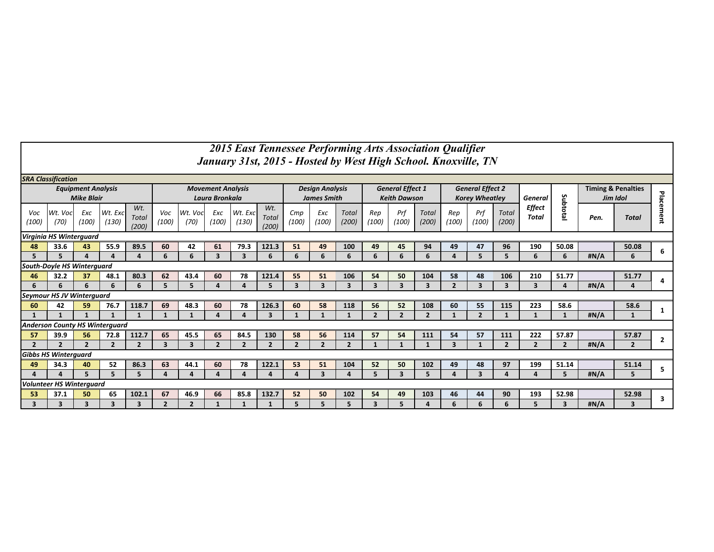|                                   | 2015 East Tennessee Performing Arts Association Qualifier<br>January 31st, 2015 - Hosted by West High School. Knoxville, TN |                                                |                          |                          |                                            |                 |                        |                  |                              |                                              |                          |                          |                                                |                          |                |                                                  |                         |                          |                         |                         |                                           |                |                |
|-----------------------------------|-----------------------------------------------------------------------------------------------------------------------------|------------------------------------------------|--------------------------|--------------------------|--------------------------------------------|-----------------|------------------------|------------------|------------------------------|----------------------------------------------|--------------------------|--------------------------|------------------------------------------------|--------------------------|----------------|--------------------------------------------------|-------------------------|--------------------------|-------------------------|-------------------------|-------------------------------------------|----------------|----------------|
|                                   | <b>SRA Classification</b>                                                                                                   |                                                |                          |                          |                                            |                 |                        |                  |                              |                                              |                          |                          |                                                |                          |                |                                                  |                         |                          |                         |                         |                                           |                |                |
|                                   |                                                                                                                             | <b>Equipment Analysis</b><br><b>Mike Blair</b> |                          |                          | <b>Movement Analysis</b><br>Laura Bronkala |                 |                        |                  |                              | <b>Design Analysis</b><br><b>James Smith</b> |                          |                          | <b>General Effect 1</b><br><b>Keith Dawson</b> |                          |                | <b>General Effect 2</b><br><b>Korey Wheatley</b> |                         |                          | <b>General</b>          |                         | <b>Timing &amp; Penalties</b><br>Jim Idol |                |                |
| Voc<br>(100                       | Wt. Voc<br>(70)                                                                                                             | Exc<br>(100)                                   | Wt. Exc<br>(130)         | Wt.<br>Total<br>(200)    | Voc<br>(100)                               | Wt. Voc<br>(70) | Exc<br>(100)           | Wt. Exc<br>(130) | Wt.<br><b>Total</b><br>(200) | Cmp<br>(100)                                 | Exc<br>(100)             | <b>Total</b><br>(200)    | Rep<br>(100)                                   | Prf<br>(100)             | Total<br>(200) | Rep<br>(100)                                     | Prf<br>(100)            | Total<br>(200)           | Effect<br>Total         | Subtotal                | Pen.                                      | <b>Total</b>   | Placement      |
|                                   | Virginia HS Winterguard                                                                                                     |                                                |                          |                          |                                            |                 |                        |                  |                              |                                              |                          |                          |                                                |                          |                |                                                  |                         |                          |                         |                         |                                           |                |                |
| 48                                | 33.6                                                                                                                        | 43                                             | 55.9                     | 89.5                     | 60                                         | 42              | 61                     | 79.3             | 121.3                        | 51                                           | 49                       | 100                      | 49                                             | 45                       | 94             | 49                                               | 47                      | 96                       | 190                     | 50.08                   |                                           | 50.08          | 6              |
|                                   | $\overline{\mathbf{3}}$<br>6<br>6<br>6<br>6<br>6<br>6<br>#N/A<br>6<br>6<br>3<br>6<br>6<br>5<br>5<br>6<br>5<br>$\Delta$      |                                                |                          |                          |                                            |                 |                        |                  |                              |                                              |                          |                          |                                                |                          |                |                                                  |                         |                          |                         |                         |                                           |                |                |
| <b>South-Doyle HS Winterguard</b> |                                                                                                                             |                                                |                          |                          |                                            |                 |                        |                  |                              |                                              |                          |                          |                                                |                          |                |                                                  |                         |                          |                         |                         |                                           |                |                |
| 46                                | 32.2                                                                                                                        | 37                                             | 48.1                     | 80.3                     | 62                                         | 43.4            | 60                     | 78               | 121.4                        | 55                                           | 51                       | 106                      | 54                                             | 50                       | 104            | 58                                               | 48                      | 106                      | 210                     | 51.77                   |                                           | 51.77          | 4              |
| 6                                 | 6                                                                                                                           | 6                                              | 6                        | 6                        | 5.                                         | 5               | $\boldsymbol{\Lambda}$ | $\Lambda$        | 5                            | 3                                            | $\overline{\mathbf{3}}$  | $\overline{\mathbf{3}}$  | $\overline{\mathbf{3}}$                        | 3                        | 3              | $\overline{2}$                                   | $\overline{\mathbf{3}}$ | $\overline{\mathbf{3}}$  | $\overline{\mathbf{3}}$ | 4                       | #N/A                                      | Δ              |                |
|                                   | <b>Seymour HS JV Winterguard</b>                                                                                            |                                                |                          |                          |                                            |                 |                        |                  |                              |                                              |                          |                          |                                                |                          |                |                                                  |                         |                          |                         |                         |                                           |                |                |
| 60                                | 42                                                                                                                          | 59                                             | 76.7                     | 118.7                    | 69                                         | 48.3            | 60                     | 78               | 126.3                        | 60                                           | 58                       | 118                      | 56                                             | 52                       | 108            | 60                                               | 55                      | 115                      | 223                     | 58.6                    |                                           | 58.6           | 1              |
|                                   |                                                                                                                             |                                                |                          | $\mathbf{1}$             | $\mathbf{1}$                               |                 | $\sqrt{ }$             |                  | 3                            |                                              |                          |                          | $\overline{2}$                                 | $\overline{\phantom{a}}$ | $\overline{2}$ |                                                  | $\overline{2}$          | 1                        | $\mathbf 1$             | $\mathbf{1}$            | #N/A                                      | $\mathbf{1}$   |                |
|                                   | <b>Anderson County HS Winterguard</b>                                                                                       |                                                |                          |                          |                                            |                 |                        |                  |                              |                                              |                          |                          |                                                |                          |                |                                                  |                         |                          |                         |                         |                                           |                |                |
| 57                                | 39.9                                                                                                                        | 56                                             | 72.8                     | 112.7                    | 65                                         | 45.5            | 65                     | 84.5             | 130                          | 58                                           | 56                       | 114                      | 57                                             | 54                       | 111            | 54                                               | 57                      | 111                      | 222                     | 57.87                   |                                           | 57.87          | $\overline{2}$ |
| $\overline{\mathbf{z}}$           | $\overline{\phantom{a}}$                                                                                                    | $\overline{\mathbf{z}}$                        | $\overline{\phantom{a}}$ | $\overline{\phantom{a}}$ | $\mathbf{z}$                               | 3               | $\mathbf{z}$           | $\mathbf{z}$     | $\overline{\phantom{a}}$     | $\mathbf{z}$                                 | $\overline{\phantom{a}}$ | $\overline{\phantom{a}}$ | $\mathbf{1}$                                   | $\mathbf{1}$             | $\mathbf{1}$   | $\mathbf{z}$                                     | -1                      | $\overline{\phantom{a}}$ | $\mathcal{P}$           | $\overline{2}$          | #N/A                                      | $\overline{2}$ |                |
|                                   | <b>Gibbs HS Winterguard</b>                                                                                                 |                                                |                          |                          |                                            |                 |                        |                  |                              |                                              |                          |                          |                                                |                          |                |                                                  |                         |                          |                         |                         |                                           |                |                |
| 49                                | 34.3                                                                                                                        | 40                                             | 52                       | 86.3                     | 63                                         | 44.1            | 60                     | 78               | 122.1                        | 53                                           | 51                       | 104                      | 52                                             | 50                       | 102            | 49                                               | 48                      | 97                       | 199                     | 51.14                   |                                           | 51.14          | 5              |
| $\mathbf{A}$                      | $\mathbf{A}$                                                                                                                | 5.                                             | 5                        | 5.                       | $\mathbf{A}$                               |                 | $\boldsymbol{\Lambda}$ |                  | $\mathbf{A}$                 | $\boldsymbol{\Lambda}$                       | $\overline{\mathbf{3}}$  |                          | 5                                              | $\overline{\mathbf{3}}$  | 5              | $\overline{A}$                                   | 3                       | $\mathbf{A}$             |                         | 5                       | #N/A                                      | 5              |                |
|                                   | <b>Volunteer HS Winterquard</b>                                                                                             |                                                |                          |                          |                                            |                 |                        |                  |                              |                                              |                          |                          |                                                |                          |                |                                                  |                         |                          |                         |                         |                                           |                |                |
| 53                                | 37.1                                                                                                                        | 50                                             | 65                       | 102.1                    | 67                                         | 46.9            | 66                     | 85.8             | 132.7                        | 52                                           | 50                       | 102                      | 54                                             | 49                       | 103            | 46                                               | 44                      | 90                       | 193                     | 52.98                   |                                           | 52.98          | 3              |
| 3                                 | 3                                                                                                                           | 3                                              | 3                        | 3                        | $\overline{2}$                             | $\overline{2}$  |                        |                  | $\mathbf{1}$                 | 5                                            | 5                        | 5                        | $\overline{\mathbf{3}}$                        | 5                        | 4              | 6                                                | 6                       | 6                        | 5                       | $\overline{\mathbf{3}}$ | #N/A                                      | 3              |                |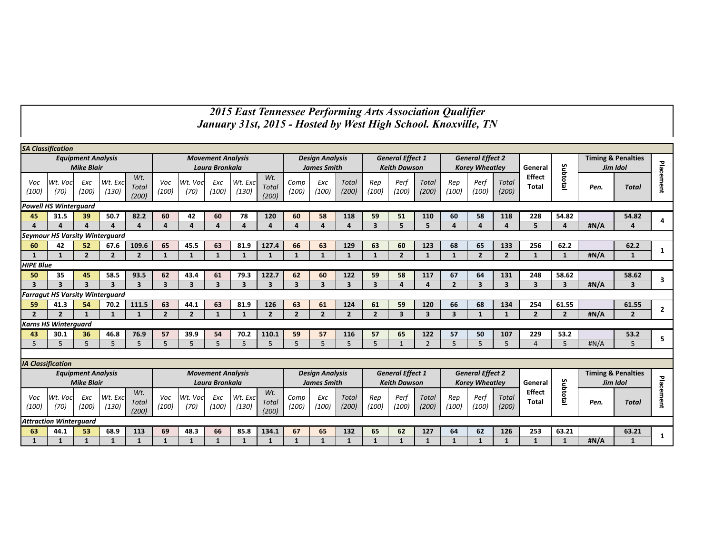## *2015 East Tennessee Performing Arts Association Qualifier January 31st, 2015 - Hosted by West High School. Knoxville, TN*

|                                                                                                     | <b>SA Classification</b>               |                           |                         |                              |                         |                         |                          |                              |                              |                         |                         |                         |                         |                         |                         |                         |                         |                               |                         |                         |              |                               |                |
|-----------------------------------------------------------------------------------------------------|----------------------------------------|---------------------------|-------------------------|------------------------------|-------------------------|-------------------------|--------------------------|------------------------------|------------------------------|-------------------------|-------------------------|-------------------------|-------------------------|-------------------------|-------------------------|-------------------------|-------------------------|-------------------------------|-------------------------|-------------------------|--------------|-------------------------------|----------------|
|                                                                                                     |                                        | <b>Equipment Analysis</b> |                         |                              |                         |                         | <b>Movement Analysis</b> |                              |                              |                         | <b>Design Analysis</b>  |                         |                         | <b>General Effect 1</b> |                         |                         | <b>General Effect 2</b> |                               |                         |                         |              | <b>Timing &amp; Penalties</b> |                |
|                                                                                                     |                                        | <b>Mike Blair</b>         |                         |                              |                         |                         | Laura Bronkala           |                              |                              | <b>James Smith</b>      |                         |                         | <b>Keith Dawson</b>     |                         |                         | <b>Korey Wheatley</b>   |                         |                               | General                 |                         |              | Jim Idol                      |                |
| Voc<br>(100)                                                                                        | Wt. Voc<br>(70)                        | Exc<br>(100)              | Wt. Exc<br>(130)        | Wt.<br><b>Total</b><br>(200) | Voc<br>(100)            | Wt. Voc<br>(70)         | Exc<br>(100)             | Wt. Exc<br>(130)             | Wt.<br><b>Total</b><br>(200) | Comp<br>(100)           | Exc<br>(100)            | <b>Total</b><br>(200)   | Rep<br>(100)            | Perf<br>(100)           | Total<br>(200)          | Rep<br>(100)            | Perf<br>(100)           | Total<br>(200)                | <b>Effect</b><br>Total  | Subtotal                | Pen.         | <b>Total</b>                  | Placement      |
|                                                                                                     | <b>Powell HS Winterguard</b>           |                           |                         |                              |                         |                         |                          |                              |                              |                         |                         |                         |                         |                         |                         |                         |                         |                               |                         |                         |              |                               |                |
| 45                                                                                                  | 31.5                                   | 39                        | 50.7                    | 82.2                         | 60                      | 42                      | 60                       | 78                           | 120                          | 60                      | 58                      | 118                     | 59                      | 51                      | 110                     | 60                      | 58                      | 118                           | 228                     | 54.82                   |              | 54.82                         | 4              |
| 4<br>$\Delta$<br>$\Delta$<br>$\Delta$<br>$\Lambda$                                                  |                                        |                           |                         |                              | $\Delta$                | $\Delta$                | $\Delta$                 | $\Delta$                     | $\Delta$                     | $\Delta$                | $\Delta$                | $\Delta$                | $\overline{\mathbf{3}}$ | 5                       | 5                       | 4                       | 4                       | $\overline{a}$                | 5                       | $\overline{4}$          | #N/A         | Δ                             |                |
|                                                                                                     | <b>Seymour HS Varsity Winterguard</b>  |                           |                         |                              |                         |                         |                          |                              |                              |                         |                         |                         |                         |                         |                         |                         |                         |                               |                         |                         |              |                               |                |
| 60                                                                                                  | 42                                     | 52                        | 67.6                    | 109.6                        | 65                      | 45.5                    | 63                       | 81.9                         | 127.4                        | 66                      | 63                      | 129                     | 63                      | 60                      | 123                     | 68                      | 65                      | 133                           | 256                     | 62.2                    |              | 62.2                          | 1              |
| $\overline{2}$<br>$\overline{2}$<br>$\overline{2}$<br>$\mathbf{1}$<br>$\mathbf{1}$                  |                                        |                           |                         |                              | $\mathbf{1}$            | $\mathbf{1}$            | 1                        | $\mathbf{1}$                 | $\mathbf{1}$                 | 1                       | $\mathbf{1}$            | $\mathbf{1}$            | $\mathbf{1}$            | $\overline{2}$          | $\mathbf{1}$            | $\mathbf{1}$            | $\overline{2}$          | $\overline{2}$                | $\mathbf{1}$            | $\mathbf{1}$            | #N/A         | $\mathbf{1}$                  |                |
| <b>HIPE Blue</b>                                                                                    |                                        |                           |                         |                              |                         |                         |                          |                              |                              |                         |                         |                         |                         |                         |                         |                         |                         |                               |                         |                         |              |                               |                |
| 50                                                                                                  | 35                                     | 45                        | 58.5                    | 93.5                         | 62                      | 43.4                    | 61                       | 79.3                         | 122.7                        | 62                      | 60                      | 122                     | 59                      | 58                      | 117                     | 67                      | 64                      | 131                           | 248                     | 58.62                   |              | 58.62                         | 3              |
| $\overline{\mathbf{3}}$                                                                             | $\overline{\mathbf{3}}$                | $\overline{\mathbf{3}}$   | $\overline{\mathbf{3}}$ | $\overline{\mathbf{3}}$      | $\overline{\mathbf{3}}$ | $\overline{\mathbf{3}}$ | $\overline{\mathbf{3}}$  | $\overline{\mathbf{3}}$      | $\overline{\mathbf{3}}$      | $\overline{\mathbf{3}}$ | $\overline{\mathbf{3}}$ | $\overline{\mathbf{3}}$ | $\overline{\mathbf{3}}$ | $\Delta$                | $\overline{a}$          | $\overline{2}$          | $\overline{\mathbf{3}}$ | $\overline{\mathbf{3}}$       | $\overline{\mathbf{3}}$ | $\overline{\mathbf{3}}$ | #N/A         | 3                             |                |
|                                                                                                     | <b>Farragut HS Varsity Winterguard</b> |                           |                         |                              |                         |                         |                          |                              |                              |                         |                         |                         |                         |                         |                         |                         |                         |                               |                         |                         |              |                               |                |
| 59                                                                                                  | 41.3                                   | 54                        | 70.2                    | 111.5                        | 63                      | 44.1                    | 63                       | 81.9                         | 126                          | 63                      | 61                      | 124                     | 61                      | 59                      | 120                     | 66                      | 68                      | 134                           | 254                     | 61.55                   |              | 61.55                         | $\overline{2}$ |
| $\overline{2}$                                                                                      | $\overline{\phantom{a}}$               | $\mathbf{1}$              | $\mathbf{1}$            | $\mathbf{1}$                 | $\overline{2}$          | $\overline{2}$          | $\mathbf{1}$             | $\mathbf{1}$                 | $\overline{2}$               | $\overline{2}$          | $\overline{2}$          | $\overline{2}$          | $\overline{2}$          | $\overline{\mathbf{3}}$ | $\overline{\mathbf{3}}$ | $\overline{\mathbf{3}}$ | $\mathbf{1}$            | $\mathbf{1}$                  | $\overline{2}$          | $\overline{2}$          | #N/A         | $\overline{2}$                |                |
|                                                                                                     | <b>Karns HS Winterguard</b>            |                           |                         |                              |                         |                         |                          |                              |                              |                         |                         |                         |                         |                         |                         |                         |                         |                               |                         |                         |              |                               |                |
| 43                                                                                                  | 30.1                                   | 36                        | 46.8                    | 76.9                         | 57                      | 39.9                    | 54                       | 70.2                         | 110.1                        | 59                      | 57                      | 116                     | 57                      | 65                      | 122                     | 57                      | 50                      | 107                           | 229                     | 53.2                    |              | 53.2                          | 5              |
| 5                                                                                                   | 5                                      | 5                         | 5                       | 5                            | 5                       | 5                       | 5                        | 5                            | 5                            | 5                       | 5                       | 5                       | 5                       | $\mathbf{1}$            | $\overline{2}$          | 5                       | 5                       | 5                             | $\overline{4}$          | 5 <sup>5</sup>          | H N/A        | 5                             |                |
|                                                                                                     |                                        |                           |                         |                              |                         |                         |                          |                              |                              |                         |                         |                         |                         |                         |                         |                         |                         |                               |                         |                         |              |                               |                |
| <b>IA Classification</b>                                                                            |                                        |                           |                         |                              |                         |                         |                          |                              |                              |                         |                         |                         |                         |                         |                         |                         |                         |                               |                         |                         |              |                               |                |
|                                                                                                     |                                        | <b>Equipment Analysis</b> |                         |                              |                         |                         | <b>Movement Analysis</b> |                              |                              |                         | <b>Design Analysis</b>  |                         |                         | <b>General Effect 1</b> |                         | <b>General Effect 2</b> |                         |                               |                         |                         |              | <b>Timing &amp; Penalties</b> |                |
|                                                                                                     |                                        | <b>Mike Blair</b>         |                         |                              |                         |                         | Laura Bronkala           |                              |                              |                         | <b>James Smith</b>      |                         |                         | <b>Keith Dawson</b>     |                         |                         | <b>Korev Wheatlev</b>   |                               | General                 |                         | Jim Idol     |                               |                |
| Wt.<br>Wt. Exc<br>Wt. Voc<br>Exc<br>Voc<br><b>Total</b><br>(100)<br>(100)<br>(130)<br>(70)<br>(200) |                                        |                           |                         | Voc<br>(100)                 | Wt. Voc<br>(70)         | Exc<br>(100)            | Wt. Exc<br>(130)         | Wt.<br><b>Total</b><br>(200) | Comp<br>(100)                | Exc<br>(100)            | <b>Total</b><br>(200)   | Rep<br>(100)            | Perf<br>(100)           | <b>Total</b><br>(200)   | Rep<br>(100)            | Perf<br>(100)           | <b>Total</b><br>(200)   | <b>Effect</b><br><b>Total</b> | Subtotal                | Pen.                    | <b>Total</b> | Placement                     |                |
| <b>Attraction Winterquard</b>                                                                       |                                        |                           |                         |                              |                         |                         |                          |                              |                              |                         |                         |                         |                         |                         |                         |                         |                         |                               |                         |                         |              |                               |                |
| 68.9<br>53<br>113<br>44.1<br>63                                                                     |                                        |                           |                         |                              | 69                      | 48.3                    | 66                       | 85.8                         | 134.1                        | 67                      | 65                      | 132                     | 65                      | 62                      | 127                     | 64                      | 62                      | 126                           | 253                     | 63.21                   |              | 63.21                         | 1              |
| 1<br>$\mathbf{1}$<br>$\mathbf 1$                                                                    |                                        |                           |                         |                              | $\mathbf{1}$            |                         |                          | 1                            | $\mathbf{1}$                 | 1                       | $\mathbf{1}$            | $\mathbf{1}$            | $\mathbf{1}$            | 1                       | $\mathbf{1}$            | $\mathbf{1}$            | $\mathbf{1}$            | $\mathbf{1}$                  | $\mathbf{1}$            | $\mathbf{1}$            | #N/A         | $\mathbf{1}$                  |                |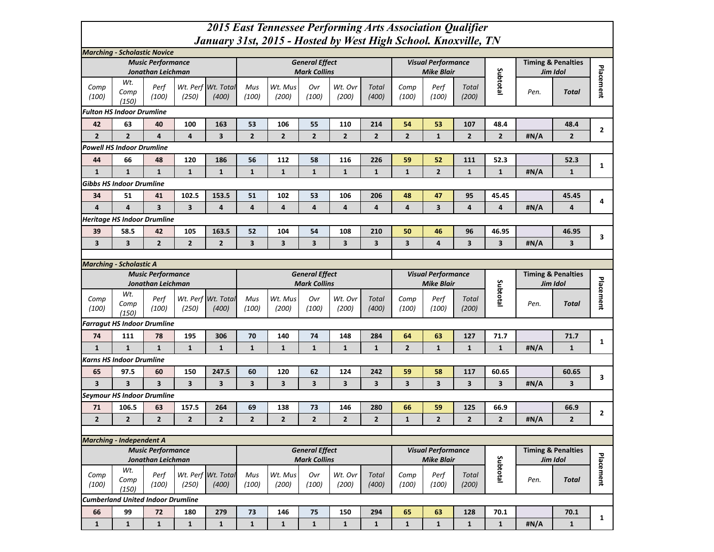## *2015 East Tennessee Performing Arts Association Qualifier January 31st, 2015 - Hosted by West High School. Knoxville, TN*

|                                          | <b>Marching - Scholastic Novice</b> |                                               |                         |                             |                |                         |                                              |                         |                       |                |                                                |                       |                         |      |                                           |              |
|------------------------------------------|-------------------------------------|-----------------------------------------------|-------------------------|-----------------------------|----------------|-------------------------|----------------------------------------------|-------------------------|-----------------------|----------------|------------------------------------------------|-----------------------|-------------------------|------|-------------------------------------------|--------------|
|                                          |                                     | <b>Music Performance</b>                      |                         |                             |                |                         | <b>General Effect</b>                        |                         |                       |                | <b>Visual Performance</b>                      |                       |                         |      | <b>Timing &amp; Penalties</b>             |              |
|                                          |                                     | Jonathan Leichman                             |                         |                             |                |                         | <b>Mark Collins</b>                          |                         |                       |                | <b>Mike Blair</b>                              |                       |                         |      | Jim Idol                                  |              |
| Comp<br>(100)                            | Wt.<br>Comp<br>(150)                | Perf<br>(100)                                 | (250)                   | Wt. Perf Wt. Total<br>(400) | Mus<br>(100)   | Wt. Mus<br>(200)        | Ovr<br>(100)                                 | Wt. Ovr<br>(200)        | Total<br>(400)        | Comp<br>(100)  | Perf<br>(100)                                  | <b>Total</b><br>(200) | Subtotal                | Pen. | <b>Total</b>                              | Placement    |
|                                          | <b>Fulton HS Indoor Drumline</b>    |                                               |                         |                             |                |                         |                                              |                         |                       |                |                                                |                       |                         |      |                                           |              |
| 42                                       | 63                                  | 40                                            | 100                     | 163                         | 53             | 106                     | 55                                           | 110                     | 214                   | 54             | 53                                             | 107                   | 48.4                    |      | 48.4                                      |              |
| $\overline{2}$                           | $\overline{2}$                      | $\overline{\mathbf{4}}$                       | $\overline{\mathbf{4}}$ | 3                           | $\mathbf{2}$   | $\overline{2}$          | $\overline{2}$                               | $\overline{2}$          | $\overline{2}$        | $\mathbf{2}$   | $\mathbf{1}$                                   | $\mathbf{2}$          | $\overline{2}$          | #N/A | $\overline{2}$                            | $\mathbf{2}$ |
|                                          | <b>Powell HS Indoor Drumline</b>    |                                               |                         |                             |                |                         |                                              |                         |                       |                |                                                |                       |                         |      |                                           |              |
| 44                                       | 66                                  | 48                                            | 120                     | 186                         | 56             | 112                     | 58                                           | 116                     | 226                   | 59             | 52                                             | 111                   | 52.3                    |      | 52.3                                      |              |
| $\mathbf{1}$                             | $\mathbf{1}$                        | $\mathbf{1}$                                  | $\mathbf{1}$            | $\mathbf{1}$                | $\mathbf{1}$   | $\mathbf{1}$            | $\mathbf{1}$                                 | $\mathbf{1}$            | $\mathbf{1}$          | $\mathbf{1}$   | $\overline{2}$                                 | $\mathbf{1}$          | $\mathbf{1}$            | #N/A | $\mathbf 1$                               | $\mathbf{1}$ |
|                                          | <b>Gibbs HS Indoor Drumline</b>     |                                               |                         |                             |                |                         |                                              |                         |                       |                |                                                |                       |                         |      |                                           |              |
| 34                                       | 51                                  | 41                                            | 102.5                   | 153.5                       | 51             | 102                     | 53                                           | 106                     | 206                   | 48             | 47                                             | 95                    | 45.45                   |      | 45.45                                     |              |
| 4                                        | $\overline{a}$                      | $\overline{\mathbf{3}}$                       | 3                       | 4                           | 4              | 4                       | $\overline{\mathbf{4}}$                      | $\overline{\mathbf{4}}$ | $\overline{4}$        | $\overline{a}$ | $\overline{\mathbf{3}}$                        | 4                     | $\overline{\mathbf{a}}$ | #N/A | $\overline{4}$                            | 4            |
|                                          | <b>Heritage HS Indoor Drumline</b>  |                                               |                         |                             |                |                         |                                              |                         |                       |                |                                                |                       |                         |      |                                           |              |
| 39                                       | 58.5                                | 42                                            | 105                     | 163.5                       | 52             | 104                     | 54                                           | 108                     | 210                   | 50             | 46                                             | 96                    | 46.95                   |      | 46.95                                     |              |
| 3                                        | $\overline{\mathbf{3}}$             | $\overline{2}$                                | $\overline{2}$          | $\overline{2}$              | 3              | $\overline{\mathbf{3}}$ | $\overline{\mathbf{3}}$                      | $\overline{\mathbf{3}}$ | 3                     | 3              | 4                                              | 3                     | 3                       | #N/A | 3                                         | 3            |
|                                          |                                     |                                               |                         |                             |                |                         |                                              |                         |                       |                |                                                |                       |                         |      |                                           |              |
|                                          | <b>Marching - Scholastic A</b>      |                                               |                         |                             |                |                         |                                              |                         |                       |                |                                                |                       |                         |      |                                           |              |
|                                          |                                     | <b>Music Performance</b><br>Jonathan Leichman |                         |                             |                |                         | <b>General Effect</b><br><b>Mark Collins</b> |                         |                       |                | <b>Visual Performance</b><br><b>Mike Blair</b> |                       |                         |      | <b>Timing &amp; Penalties</b><br>Jim Idol |              |
|                                          | Wt.                                 |                                               |                         |                             |                |                         |                                              |                         |                       |                |                                                |                       | Subtotal                |      |                                           |              |
| Comp<br>(100)                            | Comp<br>(150)                       | Perf<br>(100)                                 | (250)                   | Wt. Perf Wt. Total<br>(400) | Mus<br>(100)   | Wt. Mus<br>(200)        | Ovr<br>(100)                                 | Wt. Ovr<br>(200)        | <b>Total</b><br>(400) | Comp<br>(100)  | Perf<br>(100)                                  | <b>Total</b><br>(200) |                         | Pen. | <b>Total</b>                              | Placement    |
|                                          | <b>Farragut HS Indoor Drumline</b>  |                                               |                         |                             |                |                         |                                              |                         |                       |                |                                                |                       |                         |      |                                           |              |
| 74                                       | 111                                 | 78                                            | 195                     | 306                         | 70             | 140                     | 74                                           | 148                     | 284                   | 64             | 63                                             | 127                   | 71.7                    |      | 71.7                                      |              |
| $\mathbf{1}$                             | $\mathbf{1}$                        | $\mathbf{1}$                                  | $\mathbf{1}$            | $\mathbf{1}$                | $\mathbf{1}$   | $\mathbf{1}$            | $\mathbf{1}$                                 | $\mathbf{1}$            | $\mathbf{1}$          | $\mathbf{2}$   | $\mathbf{1}$                                   | $\mathbf{1}$          | $\mathbf{1}$            | #N/A | $\mathbf{1}$                              | $\mathbf{1}$ |
|                                          | <b>Karns HS Indoor Drumline</b>     |                                               |                         |                             |                |                         |                                              |                         |                       |                |                                                |                       |                         |      |                                           |              |
| 65                                       | 97.5                                | 60                                            | 150                     | 247.5                       | 60             | 120                     | 62                                           | 124                     | 242                   | 59             | 58                                             | 117                   | 60.65                   |      | 60.65                                     | 3            |
| 3                                        | $\overline{\mathbf{3}}$             | 3                                             | 3                       | 3                           | 3              | 3                       | 3                                            | 3                       | 3                     | 3              | 3                                              | 3                     | 3                       | #N/A | 3                                         |              |
|                                          | <b>Seymour HS Indoor Drumline</b>   |                                               |                         |                             |                |                         |                                              |                         |                       |                |                                                |                       |                         |      |                                           |              |
| 71                                       | 106.5                               | 63                                            | 157.5                   | 264                         | 69             | 138                     | 73                                           | 146                     | 280                   | 66             | 59                                             | 125                   | 66.9                    |      | 66.9                                      | $\mathbf{2}$ |
| $\overline{2}$                           | $\overline{2}$                      | $\overline{2}$                                | $\overline{2}$          | $\overline{2}$              | $\overline{2}$ | $\overline{2}$          | $\mathbf{2}$                                 | $\overline{2}$          | $\overline{2}$        | $\mathbf{1}$   | $\overline{2}$                                 | $\overline{2}$        | $\overline{2}$          | #N/A | $\mathbf{2}$                              |              |
|                                          |                                     |                                               |                         |                             |                |                         |                                              |                         |                       |                |                                                |                       |                         |      |                                           |              |
|                                          | <b>Marching - Independent A</b>     |                                               |                         |                             |                |                         |                                              |                         |                       |                |                                                |                       |                         |      |                                           |              |
|                                          |                                     | <b>Music Performance</b><br>Jonathan Leichman |                         |                             |                |                         | <b>General Effect</b><br><b>Mark Collins</b> |                         |                       |                | <b>Visual Performance</b><br><b>Mike Blair</b> |                       |                         |      | <b>Timing &amp; Penalties</b><br>Jim Idol |              |
| Comp<br>(100)                            | Wt.<br>Comp<br>(150)                | Perf<br>(100)                                 | (250)                   | Wt. Perf Wt. Total<br>(400) | Mus<br>(100)   | Wt. Mus<br>(200)        | Ovr<br>(100)                                 | Wt. Ovr<br>(200)        | <b>Total</b><br>(400) | Comp<br>(100)  | Perf<br>(100)                                  | Total<br>(200)        | Subtotal                | Pen. | <b>Total</b>                              | Placement    |
| <b>Cumberland United Indoor Drumline</b> |                                     |                                               |                         |                             |                |                         |                                              |                         |                       |                |                                                |                       |                         |      |                                           |              |
| 66                                       | 99                                  | 72                                            | 180                     | 279                         | 73             | 146                     | 75                                           | 150                     | 294                   | 65             | 63                                             | 128                   | 70.1                    |      | 70.1                                      |              |
| $\mathbf{1}$                             | $\mathbf 1$                         | $\mathbf{1}$                                  | $\mathbf{1}$            | $\mathbf{1}$                | $\mathbf{1}$   | $\mathbf{1}$            | $\mathbf{1}$                                 | $\mathbf{1}$            | $\mathbf 1$           | $\mathbf{1}$   | $\mathbf 1$                                    | $\mathbf{1}$          | $\mathbf 1$             | #N/A | $\mathbf 1$                               | $\mathbf{1}$ |